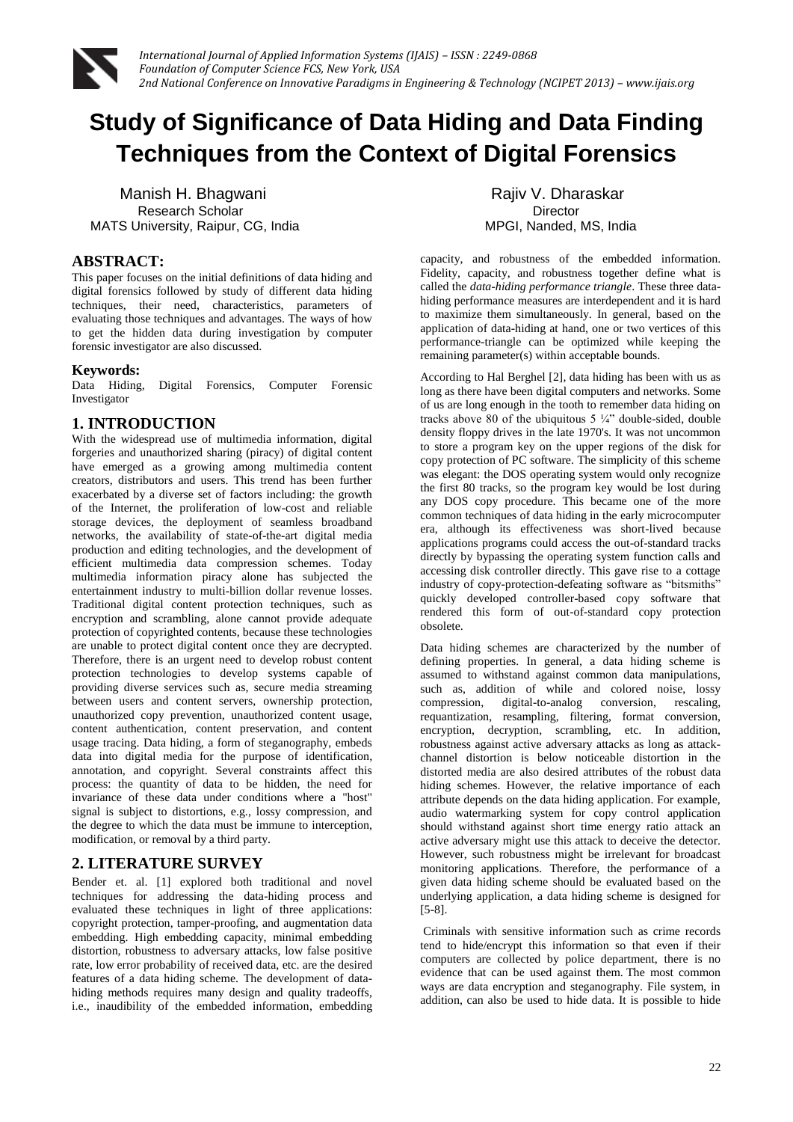

# **Study of Significance of Data Hiding and Data Finding Techniques from the Context of Digital Forensics**

Manish H. Bhagwani **Manish H. Bhagwani** Manish H. Bhagwani Rajiv V. Dharaskar Research Scholar **Director**<br>
Director **Director**<br>
Director **Director**<br>
Director **Director**<br>
Director<br>
MPGI, Nanded, MS, India MATS University, Raipur, CG, India

# **ABSTRACT:**

This paper focuses on the initial definitions of data hiding and digital forensics followed by study of different data hiding techniques, their need, characteristics, parameters of evaluating those techniques and advantages. The ways of how to get the hidden data during investigation by computer forensic investigator are also discussed.

#### **Keywords:**

Data Hiding, Digital Forensics, Computer Forensic Investigator

## **1. INTRODUCTION**

With the widespread use of multimedia information, digital forgeries and unauthorized sharing (piracy) of digital content have emerged as a growing among multimedia content creators, distributors and users. This trend has been further exacerbated by a diverse set of factors including: the growth of the Internet, the proliferation of low-cost and reliable storage devices, the deployment of seamless broadband networks, the availability of state-of-the-art digital media production and editing technologies, and the development of efficient multimedia data compression schemes. Today multimedia information piracy alone has subjected the entertainment industry to multi-billion dollar revenue losses. Traditional digital content protection techniques, such as encryption and scrambling, alone cannot provide adequate protection of copyrighted contents, because these technologies are unable to protect digital content once they are decrypted. Therefore, there is an urgent need to develop robust content protection technologies to develop systems capable of providing diverse services such as, secure media streaming between users and content servers, ownership protection, unauthorized copy prevention, unauthorized content usage, content authentication, content preservation, and content usage tracing. Data hiding, a form of steganography, embeds data into digital media for the purpose of identification, annotation, and copyright. Several constraints affect this process: the quantity of data to be hidden, the need for invariance of these data under conditions where a "host" signal is subject to distortions, e.g., lossy compression, and the degree to which the data must be immune to interception, modification, or removal by a third party.

# **2. LITERATURE SURVEY**

Bender et. al. [1] explored both traditional and novel techniques for addressing the data-hiding process and evaluated these techniques in light of three applications: copyright protection, tamper-proofing, and augmentation data embedding. High embedding capacity, minimal embedding distortion, robustness to adversary attacks, low false positive rate, low error probability of received data, etc. are the desired features of a data hiding scheme. The development of datahiding methods requires many design and quality tradeoffs, i.e., inaudibility of the embedded information, embedding

capacity, and robustness of the embedded information. Fidelity, capacity, and robustness together define what is called the *data-hiding performance triangle*. These three datahiding performance measures are interdependent and it is hard to maximize them simultaneously. In general, based on the application of data-hiding at hand, one or two vertices of this performance-triangle can be optimized while keeping the remaining parameter(s) within acceptable bounds.

According to Hal Berghel [2], data hiding has been with us as long as there have been digital computers and networks. Some of us are long enough in the tooth to remember data hiding on tracks above 80 of the ubiquitous  $5\frac{1}{4}$  double-sided, double density floppy drives in the late 1970's. It was not uncommon to store a program key on the upper regions of the disk for copy protection of PC software. The simplicity of this scheme was elegant: the DOS operating system would only recognize the first 80 tracks, so the program key would be lost during any DOS copy procedure. This became one of the more common techniques of data hiding in the early microcomputer era, although its effectiveness was short-lived because applications programs could access the out-of-standard tracks directly by bypassing the operating system function calls and accessing disk controller directly. This gave rise to a cottage industry of copy-protection-defeating software as "bitsmiths" quickly developed controller-based copy software that rendered this form of out-of-standard copy protection obsolete.

Data hiding schemes are characterized by the number of defining properties. In general, a data hiding scheme is assumed to withstand against common data manipulations, such as, addition of while and colored noise, lossy compression, digital-to-analog conversion, rescaling, requantization, resampling, filtering, format conversion, encryption, decryption, scrambling, etc. In addition, robustness against active adversary attacks as long as attackchannel distortion is below noticeable distortion in the distorted media are also desired attributes of the robust data hiding schemes. However, the relative importance of each attribute depends on the data hiding application. For example, audio watermarking system for copy control application should withstand against short time energy ratio attack an active adversary might use this attack to deceive the detector. However, such robustness might be irrelevant for broadcast monitoring applications. Therefore, the performance of a given data hiding scheme should be evaluated based on the underlying application, a data hiding scheme is designed for [5-8].

Criminals with sensitive information such as crime records tend to hide/encrypt this information so that even if their computers are collected by police department, there is no evidence that can be used against them. The most common ways are data encryption and steganography. File system, in addition, can also be used to hide data. It is possible to hide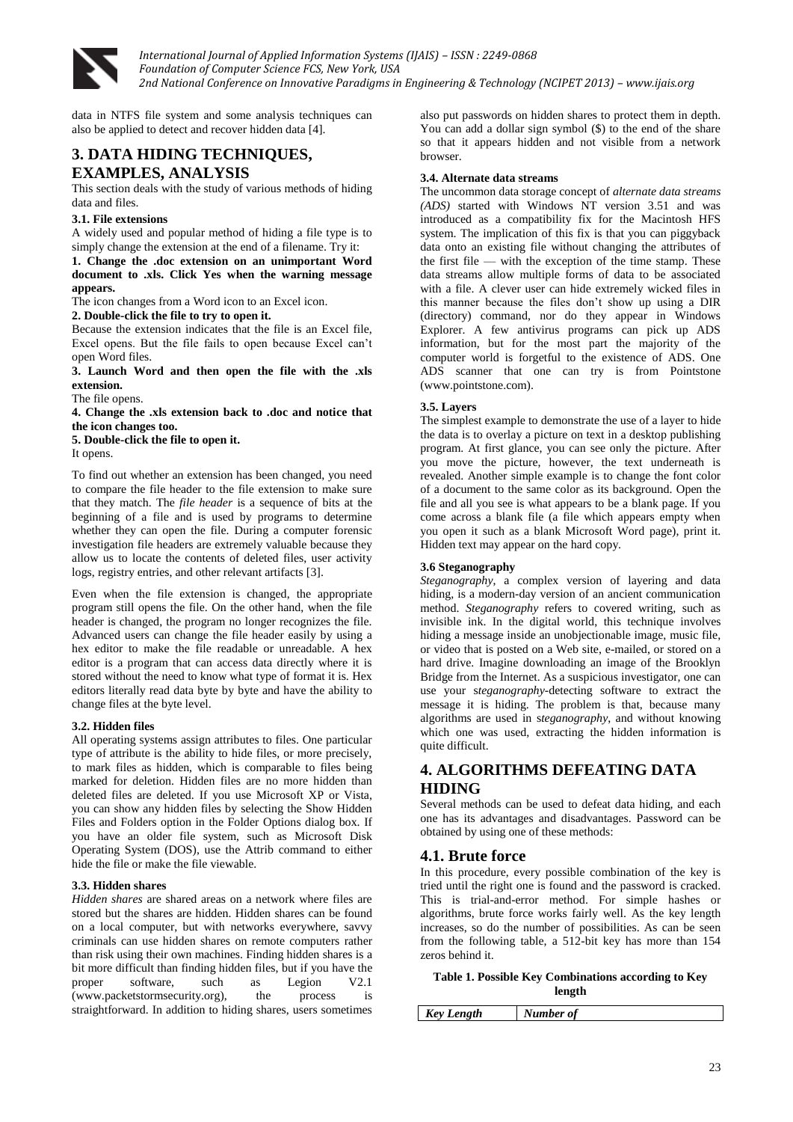

data in NTFS file system and some analysis techniques can also be applied to detect and recover hidden data [4].

# **3. DATA HIDING TECHNIQUES, EXAMPLES, ANALYSIS**

This section deals with the study of various methods of hiding data and files.

#### **3.1. File extensions**

A widely used and popular method of hiding a file type is to simply change the extension at the end of a filename. Try it: **1. Change the .doc extension on an unimportant Word** 

**document to .xls. Click Yes when the warning message appears.**

The icon changes from a Word icon to an Excel icon.

#### **2. Double-click the file to try to open it.**

Because the extension indicates that the file is an Excel file, Excel opens. But the file fails to open because Excel can't open Word files.

**3. Launch Word and then open the file with the .xls extension.**

The file opens.

**4. Change the .xls extension back to .doc and notice that the icon changes too.**

**5. Double-click the file to open it.**

It opens.

To find out whether an extension has been changed, you need to compare the file header to the file extension to make sure that they match. The *file header* is a sequence of bits at the beginning of a file and is used by programs to determine whether they can open the file. During a computer forensic investigation file headers are extremely valuable because they allow us to locate the contents of deleted files, user activity logs, registry entries, and other relevant artifacts [3].

Even when the file extension is changed, the appropriate program still opens the file. On the other hand, when the file header is changed, the program no longer recognizes the file. Advanced users can change the file header easily by using a hex editor to make the file readable or unreadable. A hex editor is a program that can access data directly where it is stored without the need to know what type of format it is. Hex editors literally read data byte by byte and have the ability to change files at the byte level.

#### **3.2. Hidden files**

All operating systems assign attributes to files. One particular type of attribute is the ability to hide files, or more precisely, to mark files as hidden, which is comparable to files being marked for deletion. Hidden files are no more hidden than deleted files are deleted. If you use Microsoft XP or Vista, you can show any hidden files by selecting the Show Hidden Files and Folders option in the Folder Options dialog box. If you have an older file system, such as Microsoft Disk Operating System (DOS), use the Attrib command to either hide the file or make the file viewable.

#### **3.3. Hidden shares**

*Hidden shares* are shared areas on a network where files are stored but the shares are hidden. Hidden shares can be found on a local computer, but with networks everywhere, savvy criminals can use hidden shares on remote computers rather than risk using their own machines. Finding hidden shares is a bit more difficult than finding hidden files, but if you have the proper software, such as Legion V2.1 [\(www.packetstormsecurity.org\)](http://www.packetstormsecurity.org/), the process is straightforward. In addition to hiding shares, users sometimes

also put passwords on hidden shares to protect them in depth. You can add a dollar sign symbol  $(\$)$  to the end of the share so that it appears hidden and not visible from a network browser.

#### **3.4. Alternate data streams**

The uncommon data storage concept of *alternate data streams (ADS)* started with Windows NT version 3.51 and was introduced as a compatibility fix for the Macintosh HFS system. The implication of this fix is that you can piggyback data onto an existing file without changing the attributes of the first file — with the exception of the time stamp. These data streams allow multiple forms of data to be associated with a file. A clever user can hide extremely wicked files in this manner because the files don't show up using a DIR (directory) command, nor do they appear in Windows Explorer. A few antivirus programs can pick up ADS information, but for the most part the majority of the computer world is forgetful to the existence of ADS. One ADS scanner that one can try is from Pointstone (www.pointstone.com).

#### **3.5. Layers**

The simplest example to demonstrate the use of a layer to hide the data is to overlay a picture on text in a desktop publishing program. At first glance, you can see only the picture. After you move the picture, however, the text underneath is revealed. Another simple example is to change the font color of a document to the same color as its background. Open the file and all you see is what appears to be a blank page. If you come across a blank file (a file which appears empty when you open it such as a blank Microsoft Word page), print it. Hidden text may appear on the hard copy.

#### **3.6 Steganography**

*Steganography*, a complex version of layering and data hiding, is a modern-day version of an ancient communication method. *Steganography* refers to covered writing, such as invisible ink. In the digital world, this technique involves hiding a message inside an unobjectionable image, music file, or video that is posted on a Web site, e-mailed, or stored on a hard drive. Imagine downloading an image of the Brooklyn Bridge from the Internet. As a suspicious investigator, one can use your s*teganography*-detecting software to extract the message it is hiding. The problem is that, because many algorithms are used in s*teganography*, and without knowing which one was used, extracting the hidden information is quite difficult.

# **4. ALGORITHMS DEFEATING DATA HIDING**

Several methods can be used to defeat data hiding, and each one has its advantages and disadvantages. Password can be obtained by using one of these methods:

## **4.1. Brute force**

In this procedure, every possible combination of the key is tried until the right one is found and the password is cracked. This is trial-and-error method. For simple hashes or algorithms, brute force works fairly well. As the key length increases, so do the number of possibilities. As can be seen from the following table, a 512-bit key has more than 154 zeros behind it.

**Table 1. Possible Key Combinations according to Key length**

| Length<br><b>Key</b> | Number of |
|----------------------|-----------|
|----------------------|-----------|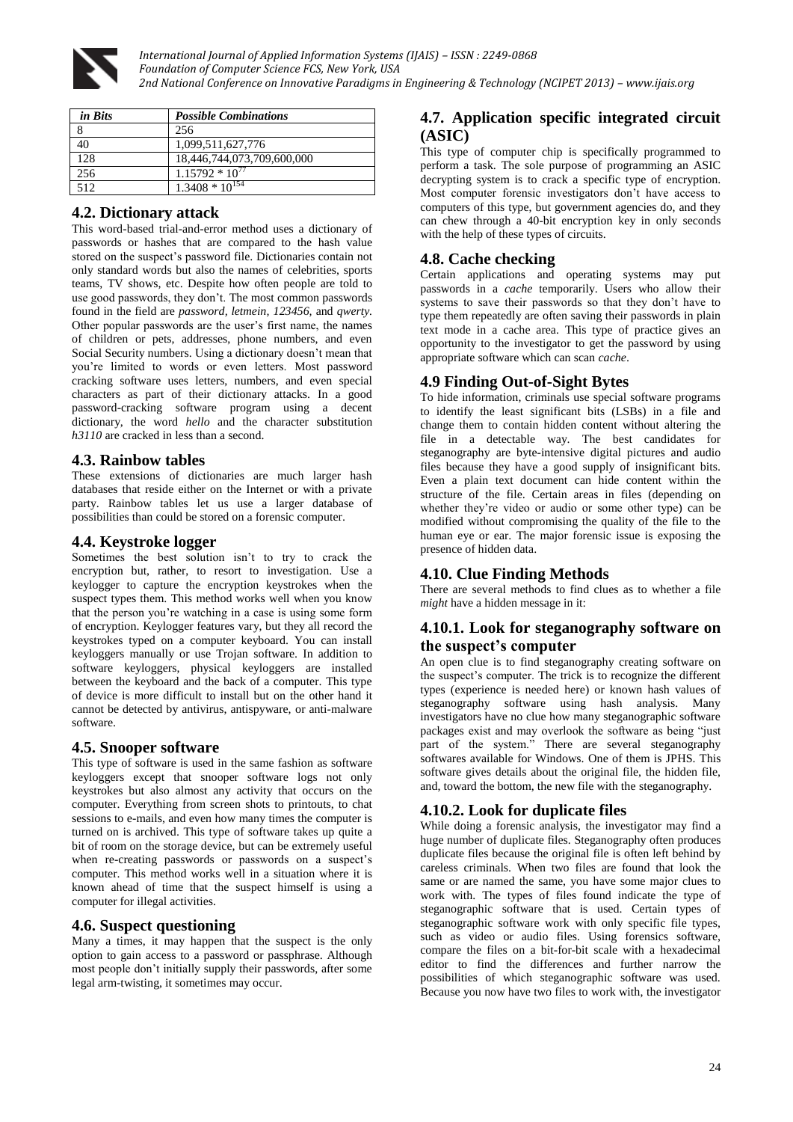

| in Bits | <b>Possible Combinations</b> |
|---------|------------------------------|
| 8       | 256                          |
|         | 1,099,511,627,776            |
| 128     | 18,446,744,073,709,600,000   |
| 256     | $1.15792 * 10^{77}$          |
| 512     | $1.3408 * 10^{154}$          |

# **4.2. Dictionary attack**

This word-based trial-and-error method uses a dictionary of passwords or hashes that are compared to the hash value stored on the suspect's password file. Dictionaries contain not only standard words but also the names of celebrities, sports teams, TV shows, etc. Despite how often people are told to use good passwords, they don't. The most common passwords found in the field are *password, letmein, 123456,* and *qwerty.*  Other popular passwords are the user's first name, the names of children or pets, addresses, phone numbers, and even Social Security numbers. Using a dictionary doesn't mean that you're limited to words or even letters. Most password cracking software uses letters, numbers, and even special characters as part of their dictionary attacks. In a good password-cracking software program using a decent dictionary, the word *hello* and the character substitution *h3110* are cracked in less than a second.

# **4.3. Rainbow tables**

These extensions of dictionaries are much larger hash databases that reside either on the Internet or with a private party. Rainbow tables let us use a larger database of possibilities than could be stored on a forensic computer.

## **4.4. Keystroke logger**

Sometimes the best solution isn't to try to crack the encryption but, rather, to resort to investigation. Use a keylogger to capture the encryption keystrokes when the suspect types them. This method works well when you know that the person you're watching in a case is using some form of encryption. Keylogger features vary, but they all record the keystrokes typed on a computer keyboard. You can install keyloggers manually or use Trojan software. In addition to software keyloggers, physical keyloggers are installed between the keyboard and the back of a computer. This type of device is more difficult to install but on the other hand it cannot be detected by antivirus, antispyware, or anti-malware software.

## **4.5. Snooper software**

This type of software is used in the same fashion as software keyloggers except that snooper software logs not only keystrokes but also almost any activity that occurs on the computer. Everything from screen shots to printouts, to chat sessions to e-mails, and even how many times the computer is turned on is archived. This type of software takes up quite a bit of room on the storage device, but can be extremely useful when re-creating passwords or passwords on a suspect's computer. This method works well in a situation where it is known ahead of time that the suspect himself is using a computer for illegal activities.

## **4.6. Suspect questioning**

Many a times, it may happen that the suspect is the only option to gain access to a password or passphrase. Although most people don't initially supply their passwords, after some legal arm-twisting, it sometimes may occur.

# **4.7. Application specific integrated circuit (ASIC)**

This type of computer chip is specifically programmed to perform a task. The sole purpose of programming an ASIC decrypting system is to crack a specific type of encryption. Most computer forensic investigators don't have access to computers of this type, but government agencies do, and they can chew through a 40-bit encryption key in only seconds with the help of these types of circuits.

# **4.8. Cache checking**

Certain applications and operating systems may put passwords in a *cache* temporarily. Users who allow their systems to save their passwords so that they don't have to type them repeatedly are often saving their passwords in plain text mode in a cache area. This type of practice gives an opportunity to the investigator to get the password by using appropriate software which can scan *cache*.

# **4.9 Finding Out-of-Sight Bytes**

To hide information, criminals use special software programs to identify the least significant bits (LSBs) in a file and change them to contain hidden content without altering the file in a detectable way. The best candidates for steganography are byte-intensive digital pictures and audio files because they have a good supply of insignificant bits. Even a plain text document can hide content within the structure of the file. Certain areas in files (depending on whether they're video or audio or some other type) can be modified without compromising the quality of the file to the human eye or ear. The major forensic issue is exposing the presence of hidden data.

# **4.10. Clue Finding Methods**

There are several methods to find clues as to whether a file *might* have a hidden message in it:

# **4.10.1. Look for steganography software on the suspect's computer**

An open clue is to find steganography creating software on the suspect's computer. The trick is to recognize the different types (experience is needed here) or known hash values of steganography software using hash analysis. Many investigators have no clue how many steganographic software packages exist and may overlook the software as being "just part of the system." There are several steganography softwares available for Windows. One of them is JPHS. This software gives details about the original file, the hidden file, and, toward the bottom, the new file with the steganography.

# **4.10.2. Look for duplicate files**

While doing a forensic analysis, the investigator may find a huge number of duplicate files. Steganography often produces duplicate files because the original file is often left behind by careless criminals. When two files are found that look the same or are named the same, you have some major clues to work with. The types of files found indicate the type of steganographic software that is used. Certain types of steganographic software work with only specific file types, such as video or audio files. Using forensics software, compare the files on a bit-for-bit scale with a hexadecimal editor to find the differences and further narrow the possibilities of which steganographic software was used. Because you now have two files to work with, the investigator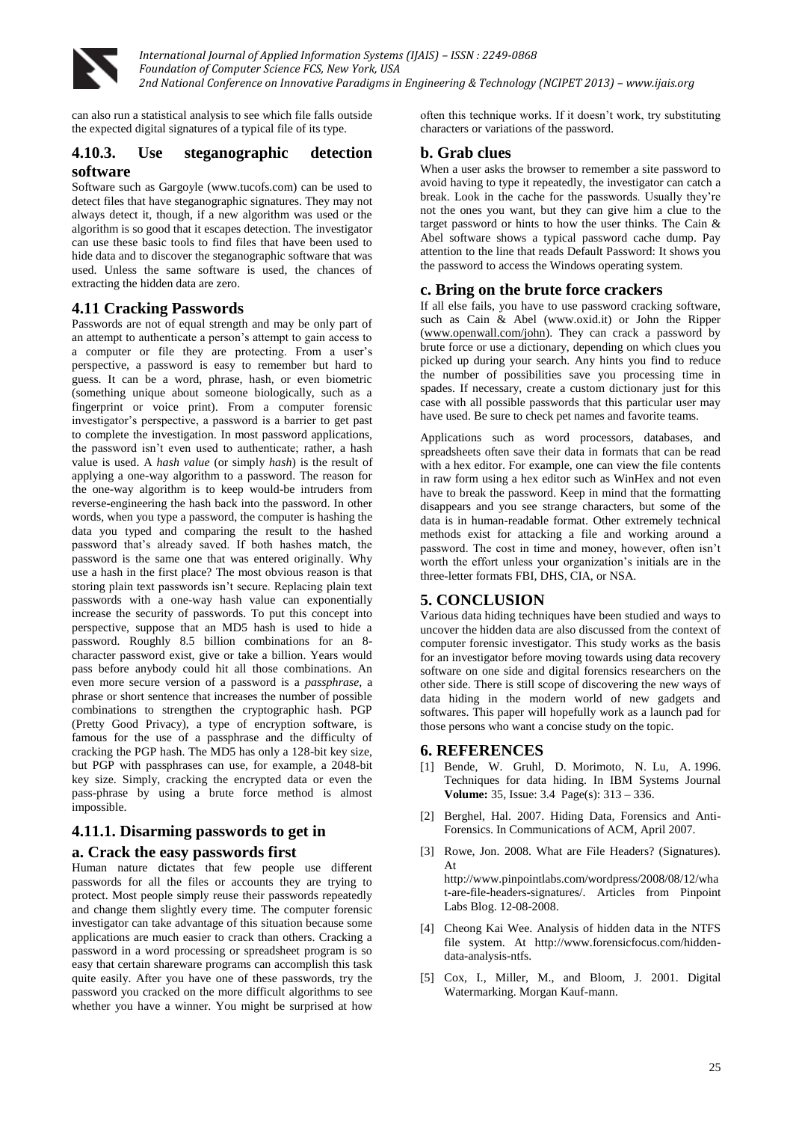

can also run a statistical analysis to see which file falls outside the expected digital signatures of a typical file of its type.

## **4.10.3. Use steganographic detection software**

Software such as Gargoyle (www.tucofs.com) can be used to detect files that have steganographic signatures. They may not always detect it, though, if a new algorithm was used or the algorithm is so good that it escapes detection. The investigator can use these basic tools to find files that have been used to hide data and to discover the steganographic software that was used. Unless the same software is used, the chances of extracting the hidden data are zero.

## **4.11 Cracking Passwords**

Passwords are not of equal strength and may be only part of an attempt to authenticate a person's attempt to gain access to a computer or file they are protecting. From a user's perspective, a password is easy to remember but hard to guess. It can be a word, phrase, hash, or even biometric (something unique about someone biologically, such as a fingerprint or voice print). From a computer forensic investigator's perspective, a password is a barrier to get past to complete the investigation. In most password applications, the password isn't even used to authenticate; rather, a hash value is used. A *hash value* (or simply *hash*) is the result of applying a one-way algorithm to a password. The reason for the one-way algorithm is to keep would-be intruders from reverse-engineering the hash back into the password. In other words, when you type a password, the computer is hashing the data you typed and comparing the result to the hashed password that's already saved. If both hashes match, the password is the same one that was entered originally. Why use a hash in the first place? The most obvious reason is that storing plain text passwords isn't secure. Replacing plain text passwords with a one-way hash value can exponentially increase the security of passwords. To put this concept into perspective, suppose that an MD5 hash is used to hide a password. Roughly 8.5 billion combinations for an 8 character password exist, give or take a billion. Years would pass before anybody could hit all those combinations. An even more secure version of a password is a *passphrase,* a phrase or short sentence that increases the number of possible combinations to strengthen the cryptographic hash. PGP (Pretty Good Privacy), a type of encryption software, is famous for the use of a passphrase and the difficulty of cracking the PGP hash. The MD5 has only a 128-bit key size, but PGP with passphrases can use, for example, a 2048-bit key size. Simply, cracking the encrypted data or even the pass-phrase by using a brute force method is almost impossible.

# **4.11.1. Disarming passwords to get in**

## **a. Crack the easy passwords first**

Human nature dictates that few people use different passwords for all the files or accounts they are trying to protect. Most people simply reuse their passwords repeatedly and change them slightly every time. The computer forensic investigator can take advantage of this situation because some applications are much easier to crack than others. Cracking a password in a word processing or spreadsheet program is so easy that certain shareware programs can accomplish this task quite easily. After you have one of these passwords, try the password you cracked on the more difficult algorithms to see whether you have a winner. You might be surprised at how

often this technique works. If it doesn't work, try substituting characters or variations of the password.

## **b. Grab clues**

When a user asks the browser to remember a site password to avoid having to type it repeatedly, the investigator can catch a break. Look in the cache for the passwords. Usually they're not the ones you want, but they can give him a clue to the target password or hints to how the user thinks. The Cain  $\&$ Abel software shows a typical password cache dump. Pay attention to the line that reads Default Password: It shows you the password to access the Windows operating system.

# **c. Bring on the brute force crackers**

If all else fails, you have to use password cracking software, such as Cain & Abel (www.oxid.it) or John the Ripper [\(www.openwall.com/john\)](http://www.openwall.com/john). They can crack a password by brute force or use a dictionary, depending on which clues you picked up during your search. Any hints you find to reduce the number of possibilities save you processing time in spades. If necessary, create a custom dictionary just for this case with all possible passwords that this particular user may have used. Be sure to check pet names and favorite teams.

Applications such as word processors, databases, and spreadsheets often save their data in formats that can be read with a hex editor. For example, one can view the file contents in raw form using a hex editor such as WinHex and not even have to break the password. Keep in mind that the formatting disappears and you see strange characters, but some of the data is in human-readable format. Other extremely technical methods exist for attacking a file and working around a password. The cost in time and money, however, often isn't worth the effort unless your organization's initials are in the three-letter formats FBI, DHS, CIA, or NSA.

# **5. CONCLUSION**

Various data hiding techniques have been studied and ways to uncover the hidden data are also discussed from the context of computer forensic investigator. This study works as the basis for an investigator before moving towards using data recovery software on one side and digital forensics researchers on the other side. There is still scope of discovering the new ways of data hiding in the modern world of new gadgets and softwares. This paper will hopefully work as a launch pad for those persons who want a concise study on the topic.

#### **6. REFERENCES**

- [1] [Bende, W.](http://ieeexplore.ieee.org/search/searchresult.jsp?searchWithin=p_Authors:.QT.Bender,%20W..QT.&newsearch=partialPref) [Gruhl, D.](http://ieeexplore.ieee.org/search/searchresult.jsp?searchWithin=p_Authors:.QT.Gruhl,%20D..QT.&newsearch=partialPref) [Morimoto, N.](http://ieeexplore.ieee.org/search/searchresult.jsp?searchWithin=p_Authors:.QT.Morimoto,%20N..QT.&newsearch=partialPref) [Lu, A.](http://ieeexplore.ieee.org/search/searchresult.jsp?searchWithin=p_Authors:.QT.Lu,%20A..QT.&newsearch=partialPref) 1996. Techniques for data hiding. In [IBM Systems Journal](http://ieeexplore.ieee.org/xpl/RecentIssue.jsp?punumber=5288519) **Volume:** 3[5, Issue: 3.4](http://ieeexplore.ieee.org/xpl/tocresult.jsp?isnumber=5387198) Page(s): 313 – 336.
- [2] Berghel, Hal. 2007. Hiding Data, Forensics and Anti-Forensics. In Communications of ACM, April 2007.
- [3] Rowe, Jon. 2008. What are File Headers? (Signatures). At http://www.pinpointlabs.com/wordpress/2008/08/12/wha t-are-file-headers-signatures/. Articles from Pinpoint Labs Blog. 12-08-2008.
- [4] Cheong Kai Wee. Analysis of hidden data in the NTFS file system. At http://www.forensicfocus.com/hiddendata-analysis-ntfs.
- [5] Cox, I., Miller, M., and Bloom, J. 2001. Digital Watermarking. Morgan Kauf-mann.